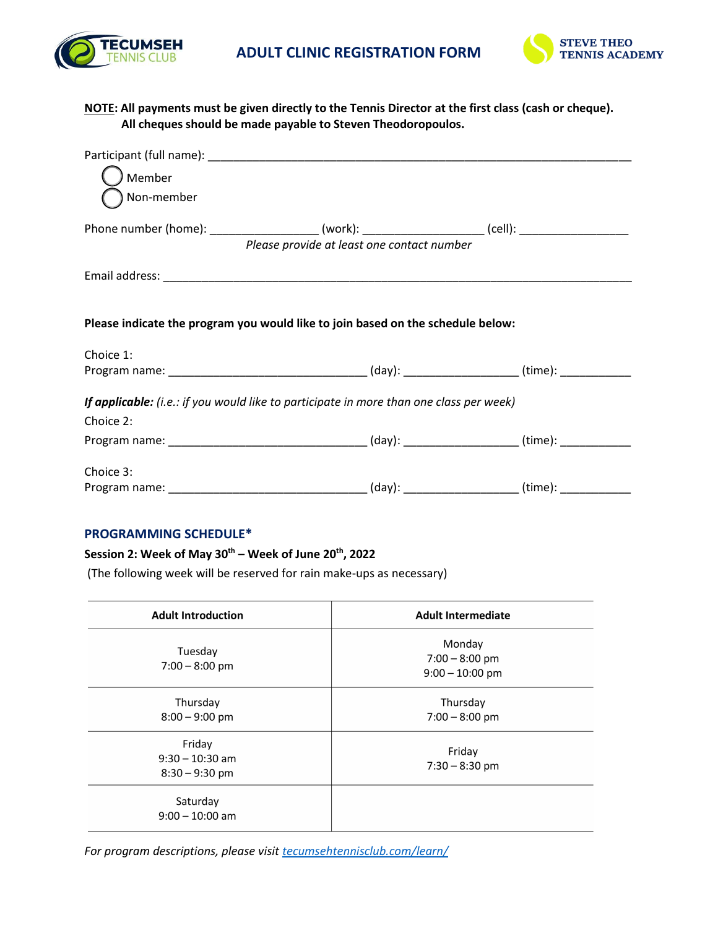



### **NOTE: All payments must be given directly to the Tennis Director at the first class (cash or cheque). All cheques should be made payable to Steven Theodoropoulos.**

| ) Member                                                                                             |                                            |  |
|------------------------------------------------------------------------------------------------------|--------------------------------------------|--|
| Mon-member                                                                                           |                                            |  |
| Phone number (home): ______________________(work): _____________________(cell): ____________________ |                                            |  |
|                                                                                                      | Please provide at least one contact number |  |
|                                                                                                      |                                            |  |
|                                                                                                      |                                            |  |
| Please indicate the program you would like to join based on the schedule below:                      |                                            |  |
| Choice 1:                                                                                            |                                            |  |
| Program name: __________________________________(day): ___________________(time): _________________  |                                            |  |
| If applicable: (i.e.: if you would like to participate in more than one class per week)              |                                            |  |
| Choice 2:                                                                                            |                                            |  |
| Program name: __________________________________(day): __________________(time): ___________________ |                                            |  |
| Choice 3:                                                                                            |                                            |  |
| Program name: __________________________________(day): __________________(time): ___________________ |                                            |  |

#### **PROGRAMMING SCHEDULE\***

### **Session ï: Week of :µoÇð th – Week of Juůy 2 th , 2022**

(The following week will be reserved for rain make-ups as necessary)